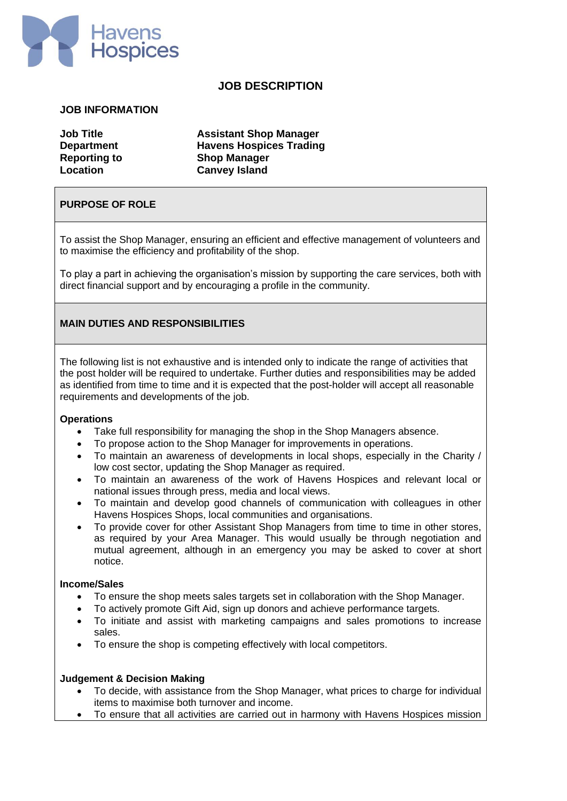

# **JOB DESCRIPTION**

#### **JOB INFORMATION**

**Job Title Assistant Shop Manager Department Havens Hospices Trading Reporting to Shop Manager Location Canvey Island**

### **PURPOSE OF ROLE**

To assist the Shop Manager, ensuring an efficient and effective management of volunteers and to maximise the efficiency and profitability of the shop.

To play a part in achieving the organisation's mission by supporting the care services, both with direct financial support and by encouraging a profile in the community.

# **MAIN DUTIES AND RESPONSIBILITIES**

The following list is not exhaustive and is intended only to indicate the range of activities that the post holder will be required to undertake. Further duties and responsibilities may be added as identified from time to time and it is expected that the post-holder will accept all reasonable requirements and developments of the job.

#### **Operations**

- Take full responsibility for managing the shop in the Shop Managers absence.
- To propose action to the Shop Manager for improvements in operations.
- To maintain an awareness of developments in local shops, especially in the Charity / low cost sector, updating the Shop Manager as required.
- To maintain an awareness of the work of Havens Hospices and relevant local or national issues through press, media and local views.
- To maintain and develop good channels of communication with colleagues in other Havens Hospices Shops, local communities and organisations.
- To provide cover for other Assistant Shop Managers from time to time in other stores, as required by your Area Manager. This would usually be through negotiation and mutual agreement, although in an emergency you may be asked to cover at short notice.

#### **Income/Sales**

- To ensure the shop meets sales targets set in collaboration with the Shop Manager.
- To actively promote Gift Aid, sign up donors and achieve performance targets.
- To initiate and assist with marketing campaigns and sales promotions to increase sales.
- To ensure the shop is competing effectively with local competitors.

#### **Judgement & Decision Making**

- To decide, with assistance from the Shop Manager, what prices to charge for individual items to maximise both turnover and income.
- To ensure that all activities are carried out in harmony with Havens Hospices mission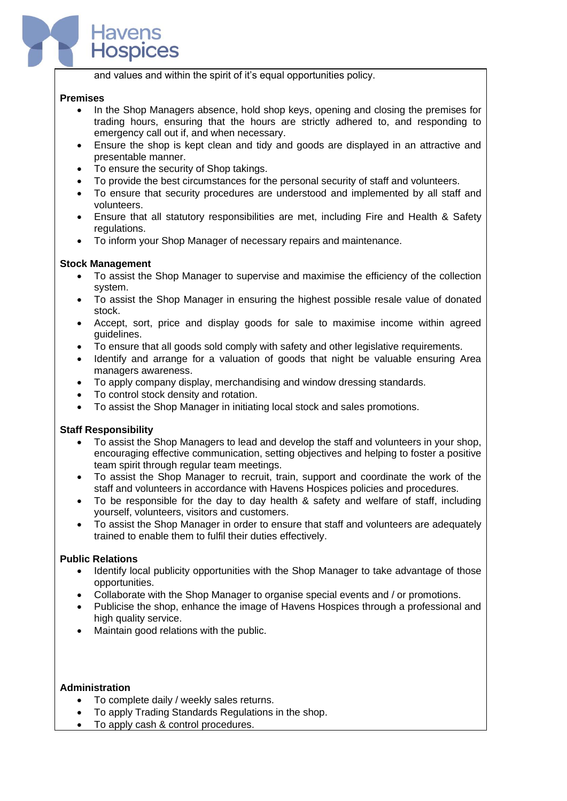and values and within the spirit of it's equal opportunities policy.

### **Premises**

l

- In the Shop Managers absence, hold shop keys, opening and closing the premises for trading hours, ensuring that the hours are strictly adhered to, and responding to emergency call out if, and when necessary.
- Ensure the shop is kept clean and tidy and goods are displayed in an attractive and presentable manner.
- To ensure the security of Shop takings.

**Spices** 

- To provide the best circumstances for the personal security of staff and volunteers.
- To ensure that security procedures are understood and implemented by all staff and volunteers.
- Ensure that all statutory responsibilities are met, including Fire and Health & Safety regulations.
- To inform your Shop Manager of necessary repairs and maintenance.

### **Stock Management**

- To assist the Shop Manager to supervise and maximise the efficiency of the collection system.
- To assist the Shop Manager in ensuring the highest possible resale value of donated stock.
- Accept, sort, price and display goods for sale to maximise income within agreed guidelines.
- To ensure that all goods sold comply with safety and other legislative requirements.
- Identify and arrange for a valuation of goods that night be valuable ensuring Area managers awareness.
- To apply company display, merchandising and window dressing standards.
- To control stock density and rotation.
- To assist the Shop Manager in initiating local stock and sales promotions.

# **Staff Responsibility**

- To assist the Shop Managers to lead and develop the staff and volunteers in your shop, encouraging effective communication, setting objectives and helping to foster a positive team spirit through regular team meetings.
- To assist the Shop Manager to recruit, train, support and coordinate the work of the staff and volunteers in accordance with Havens Hospices policies and procedures.
- To be responsible for the day to day health & safety and welfare of staff, including yourself, volunteers, visitors and customers.
- To assist the Shop Manager in order to ensure that staff and volunteers are adequately trained to enable them to fulfil their duties effectively.

# **Public Relations**

- Identify local publicity opportunities with the Shop Manager to take advantage of those opportunities.
- Collaborate with the Shop Manager to organise special events and / or promotions.
- Publicise the shop, enhance the image of Havens Hospices through a professional and high quality service.
- Maintain good relations with the public.

#### **Administration**

- To complete daily / weekly sales returns.
- To apply Trading Standards Regulations in the shop.
- To apply cash & control procedures.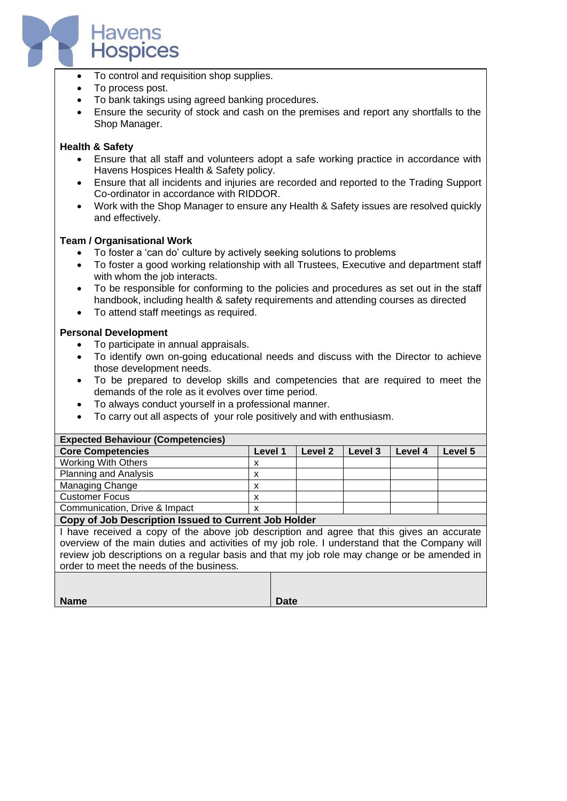

- To control and requisition shop supplies.
- To process post.
- To bank takings using agreed banking procedures.
- Ensure the security of stock and cash on the premises and report any shortfalls to the Shop Manager.

## **Health & Safety**

- Ensure that all staff and volunteers adopt a safe working practice in accordance with Havens Hospices Health & Safety policy.
- Ensure that all incidents and injuries are recorded and reported to the Trading Support Co-ordinator in accordance with RIDDOR.
- Work with the Shop Manager to ensure any Health & Safety issues are resolved quickly and effectively.

### **Team / Organisational Work**

- To foster a 'can do' culture by actively seeking solutions to problems
- To foster a good working relationship with all Trustees, Executive and department staff with whom the job interacts.
- To be responsible for conforming to the policies and procedures as set out in the staff handbook, including health & safety requirements and attending courses as directed
- To attend staff meetings as required.

### **Personal Development**

- To participate in annual appraisals.
- To identify own on-going educational needs and discuss with the Director to achieve those development needs.
- To be prepared to develop skills and competencies that are required to meet the demands of the role as it evolves over time period.
- To always conduct yourself in a professional manner.
- To carry out all aspects of your role positively and with enthusiasm.

| <b>Expected Behaviour (Competencies)</b>          |         |         |         |         |         |  |
|---------------------------------------------------|---------|---------|---------|---------|---------|--|
| <b>Core Competencies</b>                          | Level 1 | Level 2 | Level 3 | Level 4 | Level 5 |  |
| <b>Working With Others</b>                        | х       |         |         |         |         |  |
| <b>Planning and Analysis</b>                      | v       |         |         |         |         |  |
| Managing Change                                   | x       |         |         |         |         |  |
| <b>Customer Focus</b>                             | x       |         |         |         |         |  |
| Communication, Drive & Impact                     | x       |         |         |         |         |  |
| Cany of Joh December Joseph to Current Joh Holder |         |         |         |         |         |  |

**Copy of Job Description Issued to Current Job Holder**

I have received a copy of the above job description and agree that this gives an accurate overview of the main duties and activities of my job role. I understand that the Company will review job descriptions on a regular basis and that my job role may change or be amended in order to meet the needs of the business.

| <b>Name</b> | <b>Date</b> |
|-------------|-------------|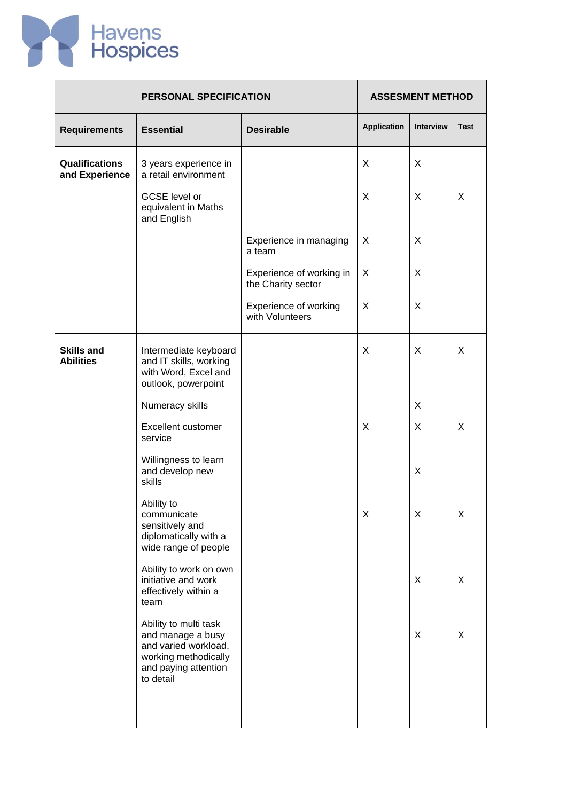

|                                         | PERSONAL SPECIFICATION                                                                                                          |                                                |                    | <b>ASSESMENT METHOD</b> |             |  |
|-----------------------------------------|---------------------------------------------------------------------------------------------------------------------------------|------------------------------------------------|--------------------|-------------------------|-------------|--|
| <b>Requirements</b>                     | <b>Essential</b>                                                                                                                | <b>Desirable</b>                               | <b>Application</b> | <b>Interview</b>        | <b>Test</b> |  |
| <b>Qualifications</b><br>and Experience | 3 years experience in<br>a retail environment                                                                                   |                                                | X                  | X                       |             |  |
|                                         | GCSE level or<br>equivalent in Maths<br>and English                                                                             |                                                | X                  | X                       | X           |  |
|                                         |                                                                                                                                 | Experience in managing<br>a team               | X                  | X                       |             |  |
|                                         |                                                                                                                                 | Experience of working in<br>the Charity sector | X                  | X                       |             |  |
|                                         |                                                                                                                                 | Experience of working<br>with Volunteers       | X                  | X                       |             |  |
| <b>Skills and</b><br><b>Abilities</b>   | Intermediate keyboard<br>and IT skills, working<br>with Word, Excel and<br>outlook, powerpoint                                  |                                                | X                  | X                       | X           |  |
|                                         | Numeracy skills                                                                                                                 |                                                |                    | X                       |             |  |
|                                         | <b>Excellent customer</b><br>service                                                                                            |                                                | X                  | X                       | X           |  |
|                                         | Willingness to learn<br>and develop new<br>skills                                                                               |                                                |                    | X                       |             |  |
|                                         | Ability to<br>communicate<br>sensitively and<br>diplomatically with a<br>wide range of people                                   |                                                | Χ                  | Χ                       | Χ           |  |
|                                         | Ability to work on own<br>initiative and work<br>effectively within a<br>team                                                   |                                                |                    | X                       | X           |  |
|                                         | Ability to multi task<br>and manage a busy<br>and varied workload,<br>working methodically<br>and paying attention<br>to detail |                                                |                    | X                       | X           |  |
|                                         |                                                                                                                                 |                                                |                    |                         |             |  |